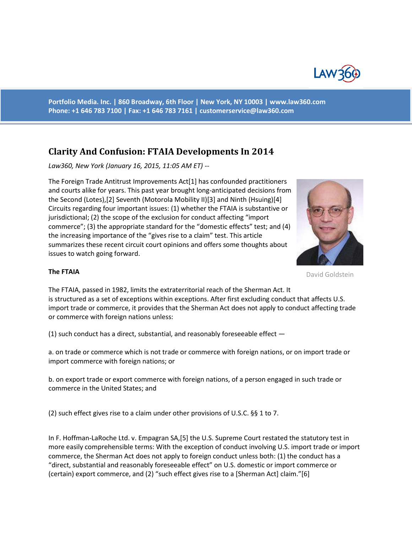

**Portfolio Media. Inc. | 860 Broadway, 6th Floor | New York, NY 10003 | www.law360.com Phone: +1 646 783 7100 | Fax: +1 646 783 7161 | [customerservice@law360.com](mailto:customerservice@law360.com)**

# **Clarity And Confusion: FTAIA Developments In 2014**

*Law360, New York (January 16, 2015, 11:05 AM ET) --*

The Foreign Trade Antitrust Improvements Act[1] has confounded practitioners and courts alike for years. This past year brought long-anticipated decisions from the Second (Lotes),[2] Seventh (Motorola Mobility II)[3] and Ninth (Hsuing)[4] Circuits regarding four important issues: (1) whether the FTAIA is substantive or jurisdictional; (2) the scope of the exclusion for conduct affecting "import commerce"; (3) the appropriate standard for the "domestic effects" test; and (4) the increasing importance of the "gives rise to a claim" test. This article summarizes these recent circuit court opinions and offers some thoughts about issues to watch going forward.



David Goldstein

#### **The FTAIA**

The FTAIA, passed in 1982, limits the extraterritorial reach of the Sherman Act. It is structured as a set of exceptions within exceptions. After first excluding conduct that affects U.S. import trade or commerce, it provides that the Sherman Act does not apply to conduct affecting trade or commerce with foreign nations unless:

(1) such conduct has a direct, substantial, and reasonably foreseeable effect —

a. on trade or commerce which is not trade or commerce with foreign nations, or on import trade or import commerce with foreign nations; or

b. on export trade or export commerce with foreign nations, of a person engaged in such trade or commerce in the United States; and

(2) such effect gives rise to a claim under other provisions of U.S.C. §§ 1 to 7.

In F. Hoffman-LaRoche Ltd. v. Empagran SA,[5] the U.S. Supreme Court restated the statutory test in more easily comprehensible terms: With the exception of conduct involving U.S. import trade or import commerce, the Sherman Act does not apply to foreign conduct unless both: (1) the conduct has a "direct, substantial and reasonably foreseeable effect" on U.S. domestic or import commerce or (certain) export commerce, and (2) "such effect gives rise to a [Sherman Act] claim."[6]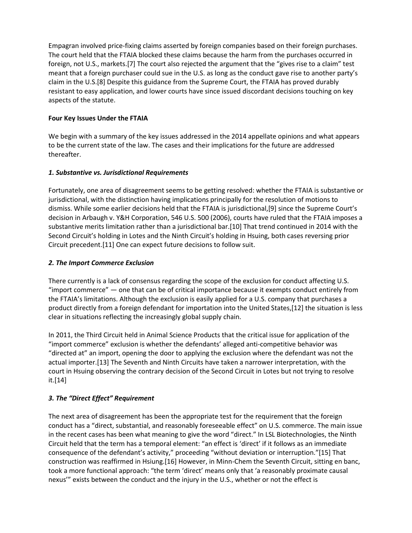Empagran involved price-fixing claims asserted by foreign companies based on their foreign purchases. The court held that the FTAIA blocked these claims because the harm from the purchases occurred in foreign, not U.S., markets.[7] The court also rejected the argument that the "gives rise to a claim" test meant that a foreign purchaser could sue in the U.S. as long as the conduct gave rise to another party's claim in the U.S.[8] Despite this guidance from the Supreme Court, the FTAIA has proved durably resistant to easy application, and lower courts have since issued discordant decisions touching on key aspects of the statute.

## **Four Key Issues Under the FTAIA**

We begin with a summary of the key issues addressed in the 2014 appellate opinions and what appears to be the current state of the law. The cases and their implications for the future are addressed thereafter.

## *1. Substantive vs. Jurisdictional Requirements*

Fortunately, one area of disagreement seems to be getting resolved: whether the FTAIA is substantive or jurisdictional, with the distinction having implications principally for the resolution of motions to dismiss. While some earlier decisions held that the FTAIA is jurisdictional,[9] since the Supreme Court's decision in Arbaugh v. Y&H Corporation, 546 U.S. 500 (2006), courts have ruled that the FTAIA imposes a substantive merits limitation rather than a jurisdictional bar.[10] That trend continued in 2014 with the Second Circuit's holding in Lotes and the Ninth Circuit's holding in Hsuing, both cases reversing prior Circuit precedent.[11] One can expect future decisions to follow suit.

## *2. The Import Commerce Exclusion*

There currently is a lack of consensus regarding the scope of the exclusion for conduct affecting U.S. "import commerce" — one that can be of critical importance because it exempts conduct entirely from the FTAIA's limitations. Although the exclusion is easily applied for a U.S. company that purchases a product directly from a foreign defendant for importation into the United States,[12] the situation is less clear in situations reflecting the increasingly global supply chain.

In 2011, the Third Circuit held in Animal Science Products that the critical issue for application of the "import commerce" exclusion is whether the defendants' alleged anti-competitive behavior was "directed at" an import, opening the door to applying the exclusion where the defendant was not the actual importer.[13] The Seventh and Ninth Circuits have taken a narrower interpretation, with the court in Hsuing observing the contrary decision of the Second Circuit in Lotes but not trying to resolve it.[14]

# *3. The "Direct Effect" Requirement*

The next area of disagreement has been the appropriate test for the requirement that the foreign conduct has a "direct, substantial, and reasonably foreseeable effect" on U.S. commerce. The main issue in the recent cases has been what meaning to give the word "direct." In LSL Biotechnologies, the Ninth Circuit held that the term has a temporal element: "an effect is 'direct' if it follows as an immediate consequence of the defendant's activity," proceeding "without deviation or interruption."[15] That construction was reaffirmed in Hsiung.[16] However, in Minn-Chem the Seventh Circuit, sitting en banc, took a more functional approach: "the term 'direct' means only that 'a reasonably proximate causal nexus'" exists between the conduct and the injury in the U.S., whether or not the effect is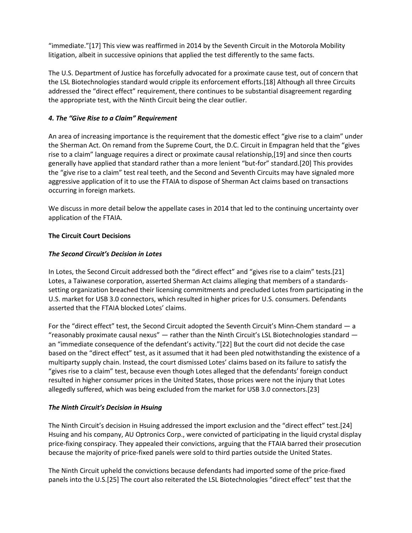"immediate."[17] This view was reaffirmed in 2014 by the Seventh Circuit in the Motorola Mobility litigation, albeit in successive opinions that applied the test differently to the same facts.

The U.S. Department of Justice has forcefully advocated for a proximate cause test, out of concern that the LSL Biotechnologies standard would cripple its enforcement efforts.[18] Although all three Circuits addressed the "direct effect" requirement, there continues to be substantial disagreement regarding the appropriate test, with the Ninth Circuit being the clear outlier.

## *4. The "Give Rise to a Claim" Requirement*

An area of increasing importance is the requirement that the domestic effect "give rise to a claim" under the Sherman Act. On remand from the Supreme Court, the D.C. Circuit in Empagran held that the "gives rise to a claim" language requires a direct or proximate causal relationship,[19] and since then courts generally have applied that standard rather than a more lenient "but-for" standard.[20] This provides the "give rise to a claim" test real teeth, and the Second and Seventh Circuits may have signaled more aggressive application of it to use the FTAIA to dispose of Sherman Act claims based on transactions occurring in foreign markets.

We discuss in more detail below the appellate cases in 2014 that led to the continuing uncertainty over application of the FTAIA.

## **The Circuit Court Decisions**

## *The Second Circuit's Decision in Lotes*

In Lotes, the Second Circuit addressed both the "direct effect" and "gives rise to a claim" tests.[21] Lotes, a Taiwanese corporation, asserted Sherman Act claims alleging that members of a standardssetting organization breached their licensing commitments and precluded Lotes from participating in the U.S. market for USB 3.0 connectors, which resulted in higher prices for U.S. consumers. Defendants asserted that the FTAIA blocked Lotes' claims.

For the "direct effect" test, the Second Circuit adopted the Seventh Circuit's Minn-Chem standard — a "reasonably proximate causal nexus"  $-$  rather than the Ninth Circuit's LSL Biotechnologies standard  $$ an "immediate consequence of the defendant's activity."[22] But the court did not decide the case based on the "direct effect" test, as it assumed that it had been pled notwithstanding the existence of a multiparty supply chain. Instead, the court dismissed Lotes' claims based on its failure to satisfy the "gives rise to a claim" test, because even though Lotes alleged that the defendants' foreign conduct resulted in higher consumer prices in the United States, those prices were not the injury that Lotes allegedly suffered, which was being excluded from the market for USB 3.0 connectors.[23]

#### *The Ninth Circuit's Decision in Hsuing*

The Ninth Circuit's decision in Hsuing addressed the import exclusion and the "direct effect" test.[24] Hsuing and his company, AU Optronics Corp., were convicted of participating in the liquid crystal display price-fixing conspiracy. They appealed their convictions, arguing that the FTAIA barred their prosecution because the majority of price-fixed panels were sold to third parties outside the United States.

The Ninth Circuit upheld the convictions because defendants had imported some of the price-fixed panels into the U.S.[25] The court also reiterated the LSL Biotechnologies "direct effect" test that the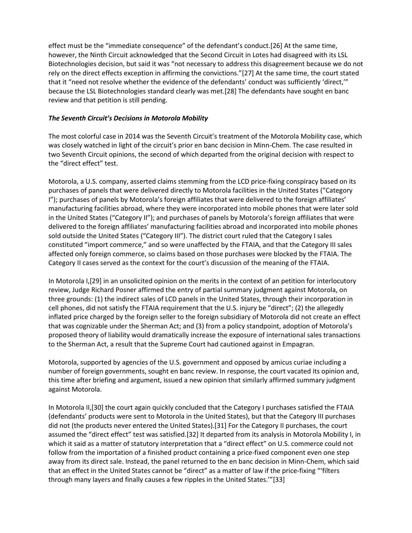effect must be the "immediate consequence" of the defendant's conduct.[26] At the same time, however, the Ninth Circuit acknowledged that the Second Circuit in Lotes had disagreed with its LSL Biotechnologies decision, but said it was "not necessary to address this disagreement because we do not rely on the direct effects exception in affirming the convictions."[27] At the same time, the court stated that it "need not resolve whether the evidence of the defendants' conduct was sufficiently 'direct,'" because the LSL Biotechnologies standard clearly was met.[28] The defendants have sought en banc review and that petition is still pending.

## *The Seventh Circuit's Decisions in Motorola Mobility*

The most colorful case in 2014 was the Seventh Circuit's treatment of the Motorola Mobility case, which was closely watched in light of the circuit's prior en banc decision in Minn-Chem. The case resulted in two Seventh Circuit opinions, the second of which departed from the original decision with respect to the "direct effect" test.

Motorola, a U.S. company, asserted claims stemming from the LCD price-fixing conspiracy based on its purchases of panels that were delivered directly to Motorola facilities in the United States ("Category I"); purchases of panels by Motorola's foreign affiliates that were delivered to the foreign affiliates' manufacturing facilities abroad, where they were incorporated into mobile phones that were later sold in the United States ("Category II"); and purchases of panels by Motorola's foreign affiliates that were delivered to the foreign affiliates' manufacturing facilities abroad and incorporated into mobile phones sold outside the United States ("Category III"). The district court ruled that the Category I sales constituted "import commerce," and so were unaffected by the FTAIA, and that the Category III sales affected only foreign commerce, so claims based on those purchases were blocked by the FTAIA. The Category II cases served as the context for the court's discussion of the meaning of the FTAIA.

In Motorola I,[29] in an unsolicited opinion on the merits in the context of an petition for interlocutory review, Judge Richard Posner affirmed the entry of partial summary judgment against Motorola, on three grounds: (1) the indirect sales of LCD panels in the United States, through their incorporation in cell phones, did not satisfy the FTAIA requirement that the U.S. injury be "direct"; (2) the allegedly inflated price charged by the foreign seller to the foreign subsidiary of Motorola did not create an effect that was cognizable under the Sherman Act; and (3) from a policy standpoint, adoption of Motorola's proposed theory of liability would dramatically increase the exposure of international sales transactions to the Sherman Act, a result that the Supreme Court had cautioned against in Empagran.

Motorola, supported by agencies of the U.S. government and opposed by amicus curiae including a number of foreign governments, sought en banc review. In response, the court vacated its opinion and, this time after briefing and argument, issued a new opinion that similarly affirmed summary judgment against Motorola.

In Motorola II,[30] the court again quickly concluded that the Category I purchases satisfied the FTAIA (defendants' products were sent to Motorola in the United States), but that the Category III purchases did not (the products never entered the United States).[31] For the Category II purchases, the court assumed the "direct effect" test was satisfied.[32] It departed from its analysis in Motorola Mobility I, in which it said as a matter of statutory interpretation that a "direct effect" on U.S. commerce could not follow from the importation of a finished product containing a price-fixed component even one step away from its direct sale. Instead, the panel returned to the en banc decision in Minn-Chem, which said that an effect in the United States cannot be "direct" as a matter of law if the price-fixing "'filters through many layers and finally causes a few ripples in the United States.'"[33]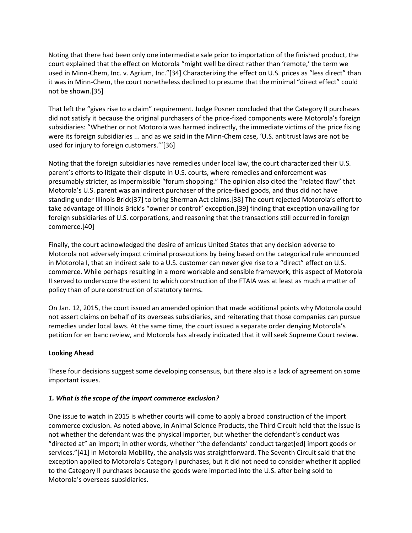Noting that there had been only one intermediate sale prior to importation of the finished product, the court explained that the effect on Motorola "might well be direct rather than 'remote,' the term we used in Minn-Chem, Inc. v. Agrium, Inc."[34] Characterizing the effect on U.S. prices as "less direct" than it was in Minn-Chem, the court nonetheless declined to presume that the minimal "direct effect" could not be shown.[35]

That left the "gives rise to a claim" requirement. Judge Posner concluded that the Category II purchases did not satisfy it because the original purchasers of the price-fixed components were Motorola's foreign subsidiaries: "Whether or not Motorola was harmed indirectly, the immediate victims of the price fixing were its foreign subsidiaries ... and as we said in the Minn-Chem case, 'U.S. antitrust laws are not be used for injury to foreign customers.'"[36]

Noting that the foreign subsidiaries have remedies under local law, the court characterized their U.S. parent's efforts to litigate their dispute in U.S. courts, where remedies and enforcement was presumably stricter, as impermissible "forum shopping." The opinion also cited the "related flaw" that Motorola's U.S. parent was an indirect purchaser of the price-fixed goods, and thus did not have standing under Illinois Brick[37] to bring Sherman Act claims.[38] The court rejected Motorola's effort to take advantage of Illinois Brick's "owner or control" exception,[39] finding that exception unavailing for foreign subsidiaries of U.S. corporations, and reasoning that the transactions still occurred in foreign commerce.[40]

Finally, the court acknowledged the desire of amicus United States that any decision adverse to Motorola not adversely impact criminal prosecutions by being based on the categorical rule announced in Motorola I, that an indirect sale to a U.S. customer can never give rise to a "direct" effect on U.S. commerce. While perhaps resulting in a more workable and sensible framework, this aspect of Motorola II served to underscore the extent to which construction of the FTAIA was at least as much a matter of policy than of pure construction of statutory terms.

On Jan. 12, 2015, the court issued an amended opinion that made additional points why Motorola could not assert claims on behalf of its overseas subsidiaries, and reiterating that those companies can pursue remedies under local laws. At the same time, the court issued a separate order denying Motorola's petition for en banc review, and Motorola has already indicated that it will seek Supreme Court review.

#### **Looking Ahead**

These four decisions suggest some developing consensus, but there also is a lack of agreement on some important issues.

#### *1. What is the scope of the import commerce exclusion?*

One issue to watch in 2015 is whether courts will come to apply a broad construction of the import commerce exclusion. As noted above, in Animal Science Products, the Third Circuit held that the issue is not whether the defendant was the physical importer, but whether the defendant's conduct was "directed at" an import; in other words, whether "the defendants' conduct target[ed] import goods or services."[41] In Motorola Mobility, the analysis was straightforward. The Seventh Circuit said that the exception applied to Motorola's Category I purchases, but it did not need to consider whether it applied to the Category II purchases because the goods were imported into the U.S. after being sold to Motorola's overseas subsidiaries.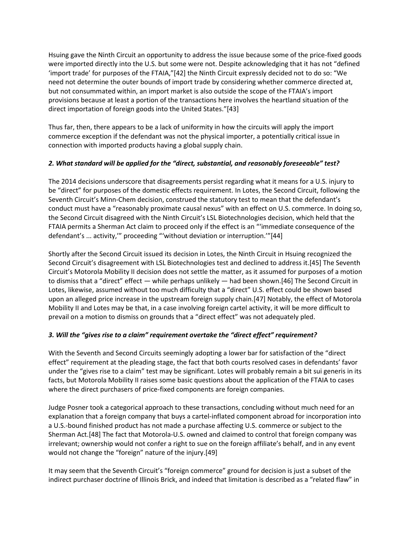Hsuing gave the Ninth Circuit an opportunity to address the issue because some of the price-fixed goods were imported directly into the U.S. but some were not. Despite acknowledging that it has not "defined 'import trade' for purposes of the FTAIA,"[42] the Ninth Circuit expressly decided not to do so: "We need not determine the outer bounds of import trade by considering whether commerce directed at, but not consummated within, an import market is also outside the scope of the FTAIA's import provisions because at least a portion of the transactions here involves the heartland situation of the direct importation of foreign goods into the United States."[43]

Thus far, then, there appears to be a lack of uniformity in how the circuits will apply the import commerce exception if the defendant was not the physical importer, a potentially critical issue in connection with imported products having a global supply chain.

## *2. What standard will be applied for the "direct, substantial, and reasonably foreseeable" test?*

The 2014 decisions underscore that disagreements persist regarding what it means for a U.S. injury to be "direct" for purposes of the domestic effects requirement. In Lotes, the Second Circuit, following the Seventh Circuit's Minn-Chem decision, construed the statutory test to mean that the defendant's conduct must have a "reasonably proximate causal nexus" with an effect on U.S. commerce. In doing so, the Second Circuit disagreed with the Ninth Circuit's LSL Biotechnologies decision, which held that the FTAIA permits a Sherman Act claim to proceed only if the effect is an "'immediate consequence of the defendant's ... activity,'" proceeding "'without deviation or interruption.'"[44]

Shortly after the Second Circuit issued its decision in Lotes, the Ninth Circuit in Hsuing recognized the Second Circuit's disagreement with LSL Biotechnologies test and declined to address it.[45] The Seventh Circuit's Motorola Mobility II decision does not settle the matter, as it assumed for purposes of a motion to dismiss that a "direct" effect — while perhaps unlikely — had been shown.[46] The Second Circuit in Lotes, likewise, assumed without too much difficulty that a "direct" U.S. effect could be shown based upon an alleged price increase in the upstream foreign supply chain.[47] Notably, the effect of Motorola Mobility II and Lotes may be that, in a case involving foreign cartel activity, it will be more difficult to prevail on a motion to dismiss on grounds that a "direct effect" was not adequately pled.

# *3. Will the "gives rise to a claim" requirement overtake the "direct effect" requirement?*

With the Seventh and Second Circuits seemingly adopting a lower bar for satisfaction of the "direct effect" requirement at the pleading stage, the fact that both courts resolved cases in defendants' favor under the "gives rise to a claim" test may be significant. Lotes will probably remain a bit sui generis in its facts, but Motorola Mobility II raises some basic questions about the application of the FTAIA to cases where the direct purchasers of price-fixed components are foreign companies.

Judge Posner took a categorical approach to these transactions, concluding without much need for an explanation that a foreign company that buys a cartel-inflated component abroad for incorporation into a U.S.-bound finished product has not made a purchase affecting U.S. commerce or subject to the Sherman Act.[48] The fact that Motorola-U.S. owned and claimed to control that foreign company was irrelevant; ownership would not confer a right to sue on the foreign affiliate's behalf, and in any event would not change the "foreign" nature of the injury.[49]

It may seem that the Seventh Circuit's "foreign commerce" ground for decision is just a subset of the indirect purchaser doctrine of Illinois Brick, and indeed that limitation is described as a "related flaw" in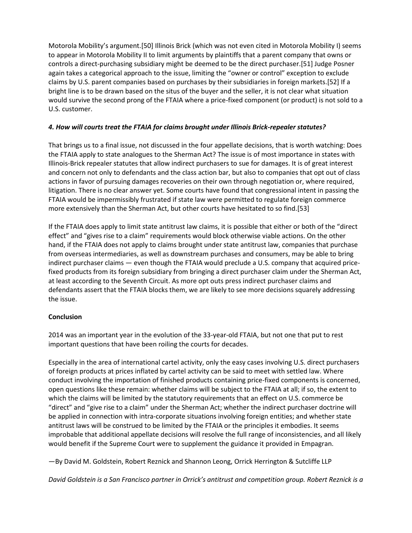Motorola Mobility's argument.[50] Illinois Brick (which was not even cited in Motorola Mobility I) seems to appear in Motorola Mobility II to limit arguments by plaintiffs that a parent company that owns or controls a direct-purchasing subsidiary might be deemed to be the direct purchaser.[51] Judge Posner again takes a categorical approach to the issue, limiting the "owner or control" exception to exclude claims by U.S. parent companies based on purchases by their subsidiaries in foreign markets.[52] If a bright line is to be drawn based on the situs of the buyer and the seller, it is not clear what situation would survive the second prong of the FTAIA where a price-fixed component (or product) is not sold to a U.S. customer.

## *4. How will courts treat the FTAIA for claims brought under Illinois Brick-repealer statutes?*

That brings us to a final issue, not discussed in the four appellate decisions, that is worth watching: Does the FTAIA apply to state analogues to the Sherman Act? The issue is of most importance in states with Illinois-Brick repealer statutes that allow indirect purchasers to sue for damages. It is of great interest and concern not only to defendants and the class action bar, but also to companies that opt out of class actions in favor of pursuing damages recoveries on their own through negotiation or, where required, litigation. There is no clear answer yet. Some courts have found that congressional intent in passing the FTAIA would be impermissibly frustrated if state law were permitted to regulate foreign commerce more extensively than the Sherman Act, but other courts have hesitated to so find.[53]

If the FTAIA does apply to limit state antitrust law claims, it is possible that either or both of the "direct effect" and "gives rise to a claim" requirements would block otherwise viable actions. On the other hand, if the FTAIA does not apply to claims brought under state antitrust law, companies that purchase from overseas intermediaries, as well as downstream purchases and consumers, may be able to bring indirect purchaser claims — even though the FTAIA would preclude a U.S. company that acquired pricefixed products from its foreign subsidiary from bringing a direct purchaser claim under the Sherman Act, at least according to the Seventh Circuit. As more opt outs press indirect purchaser claims and defendants assert that the FTAIA blocks them, we are likely to see more decisions squarely addressing the issue.

# **Conclusion**

2014 was an important year in the evolution of the 33-year-old FTAIA, but not one that put to rest important questions that have been roiling the courts for decades.

Especially in the area of international cartel activity, only the easy cases involving U.S. direct purchasers of foreign products at prices inflated by cartel activity can be said to meet with settled law. Where conduct involving the importation of finished products containing price-fixed components is concerned, open questions like these remain: whether claims will be subject to the FTAIA at all; if so, the extent to which the claims will be limited by the statutory requirements that an effect on U.S. commerce be "direct" and "give rise to a claim" under the Sherman Act; whether the indirect purchaser doctrine will be applied in connection with intra-corporate situations involving foreign entities; and whether state antitrust laws will be construed to be limited by the FTAIA or the principles it embodies. It seems improbable that additional appellate decisions will resolve the full range of inconsistencies, and all likely would benefit if the Supreme Court were to supplement the guidance it provided in Empagran.

—By David M. Goldstein, Robert Reznick and Shannon Leong, Orrick Herrington & Sutcliffe LLP

*David Goldstein is a San Francisco partner in Orrick's antitrust and competition group. Robert Reznick is a*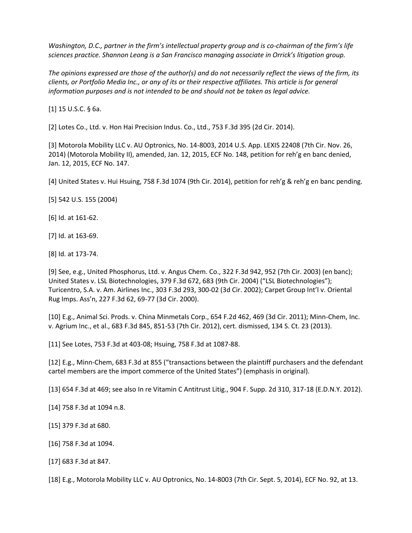*Washington, D.C., partner in the firm's intellectual property group and is co-chairman of the firm's life sciences practice. Shannon Leong is a San Francisco managing associate in Orrick's litigation group.*

*The opinions expressed are those of the author(s) and do not necessarily reflect the views of the firm, its clients, or Portfolio Media Inc., or any of its or their respective affiliates. This article is for general information purposes and is not intended to be and should not be taken as legal advice.*

[1] 15 U.S.C. § 6a.

[2] Lotes Co., Ltd. v. Hon Hai Precision Indus. Co., Ltd., 753 F.3d 395 (2d Cir. 2014).

[3] Motorola Mobility LLC v. AU Optronics, No. 14-8003, 2014 U.S. App. LEXIS 22408 (7th Cir. Nov. 26, 2014) (Motorola Mobility II), amended, Jan. 12, 2015, ECF No. 148, petition for reh'g en banc denied, Jan. 12, 2015, ECF No. 147.

[4] United States v. Hui Hsuing, 758 F.3d 1074 (9th Cir. 2014), petition for reh'g & reh'g en banc pending.

[5] 542 U.S. 155 (2004)

[6] Id. at 161-62.

[7] Id. at 163-69.

[8] Id. at 173-74.

[9] See, e.g., United Phosphorus, Ltd. v. Angus Chem. Co., 322 F.3d 942, 952 (7th Cir. 2003) (en banc); United States v. LSL Biotechnologies, 379 F.3d 672, 683 (9th Cir. 2004) ("LSL Biotechnologies"); Turicentro, S.A. v. Am. Airlines Inc., 303 F.3d 293, 300-02 (3d Cir. 2002); Carpet Group Int'l v. Oriental Rug Imps. Ass'n, 227 F.3d 62, 69-77 (3d Cir. 2000).

[10] E.g., Animal Sci. Prods. v. China Minmetals Corp., 654 F.2d 462, 469 (3d Cir. 2011); Minn-Chem, Inc. v. Agrium Inc., et al., 683 F.3d 845, 851-53 (7th Cir. 2012), cert. dismissed, 134 S. Ct. 23 (2013).

[11] See Lotes, 753 F.3d at 403-08; Hsuing, 758 F.3d at 1087-88.

[12] E.g., Minn-Chem, 683 F.3d at 855 ("transactions between the plaintiff purchasers and the defendant cartel members are the import commerce of the United States") (emphasis in original).

[13] 654 F.3d at 469; see also In re Vitamin C Antitrust Litig., 904 F. Supp. 2d 310, 317-18 (E.D.N.Y. 2012).

[14] 758 F.3d at 1094 n.8.

[15] 379 F.3d at 680.

[16] 758 F.3d at 1094.

[17] 683 F.3d at 847.

[18] E.g., Motorola Mobility LLC v. AU Optronics, No. 14-8003 (7th Cir. Sept. 5, 2014), ECF No. 92, at 13.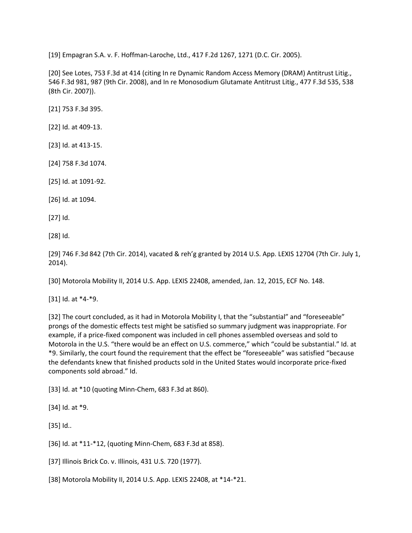[19] Empagran S.A. v. F. Hoffman-Laroche, Ltd., 417 F.2d 1267, 1271 (D.C. Cir. 2005).

[20] See Lotes, 753 F.3d at 414 (citing In re Dynamic Random Access Memory (DRAM) Antitrust Litig., 546 F.3d 981, 987 (9th Cir. 2008), and In re Monosodium Glutamate Antitrust Litig., 477 F.3d 535, 538 (8th Cir. 2007)).

[21] 753 F.3d 395.

[22] Id. at 409-13.

[23] Id. at 413-15.

[24] 758 F.3d 1074.

[25] Id. at 1091-92.

[26] Id. at 1094.

[27] Id.

[28] Id.

[29] 746 F.3d 842 (7th Cir. 2014), vacated & reh'g granted by 2014 U.S. App. LEXIS 12704 (7th Cir. July 1, 2014).

[30] Motorola Mobility II, 2014 U.S. App. LEXIS 22408, amended, Jan. 12, 2015, ECF No. 148.

[31] Id. at \*4-\*9.

[32] The court concluded, as it had in Motorola Mobility I, that the "substantial" and "foreseeable" prongs of the domestic effects test might be satisfied so summary judgment was inappropriate. For example, if a price-fixed component was included in cell phones assembled overseas and sold to Motorola in the U.S. "there would be an effect on U.S. commerce," which "could be substantial." Id. at \*9. Similarly, the court found the requirement that the effect be "foreseeable" was satisfied "because the defendants knew that finished products sold in the United States would incorporate price-fixed components sold abroad." Id.

[33] Id. at \*10 (quoting Minn-Chem, 683 F.3d at 860).

[34] Id. at \*9.

[35] Id..

[36] Id. at \*11-\*12, (quoting Minn-Chem, 683 F.3d at 858).

[37] Illinois Brick Co. v. Illinois, 431 U.S. 720 (1977).

[38] Motorola Mobility II, 2014 U.S. App. LEXIS 22408, at \*14-\*21.